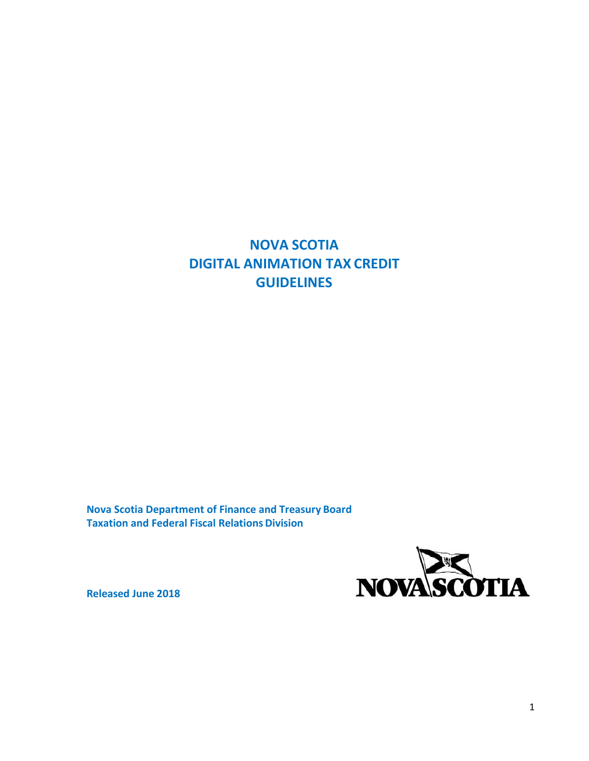# **NOVA SCOTIA DIGITAL ANIMATION TAX CREDIT GUIDELINES**

**Nova Scotia Department of Finance and Treasury Board Taxation and Federal Fiscal Relations Division**



**Released June 2018**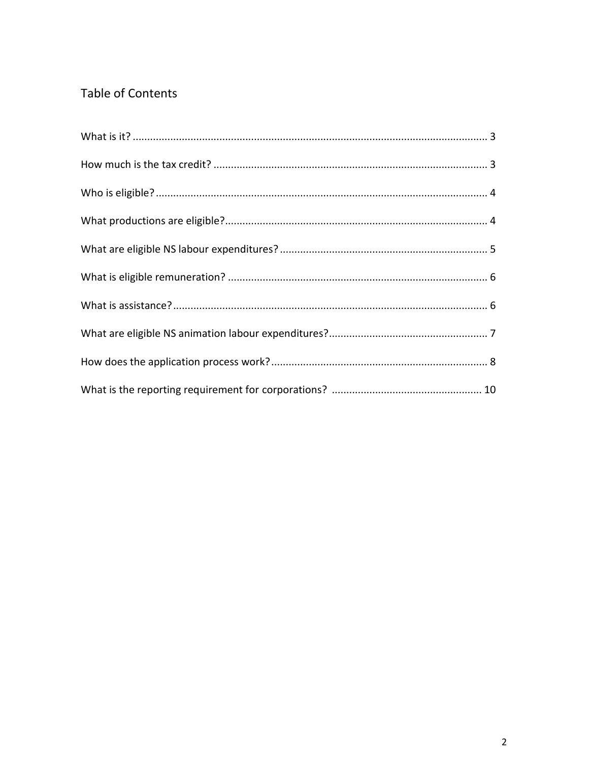## **Table of Contents**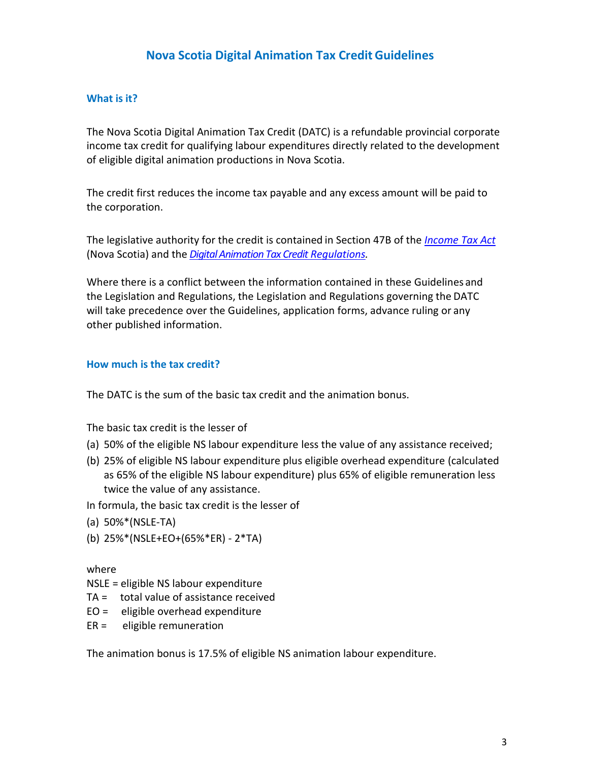## **Nova Scotia Digital Animation Tax Credit Guidelines**

#### **What is it?**

The Nova Scotia Digital Animation Tax Credit (DATC) is a refundable provincial corporate income tax credit for qualifying labour expenditures directly related to the development of eligible digital animation productions in Nova Scotia.

The credit first reduces the income tax payable and any excess amount will be paid to the corporation.

The legislative authority for the credit is contained in Section 47B of the *[Income Tax Act](http://nslegislature.ca/legc/index.htm)* (Nova Scotia) and the *[Digital Animation Tax Credit](https://www.novascotia.ca/just/regulations/regs/incdigitalanimation.htm) Regulations.*

Where there is a conflict between the information contained in these Guidelines and the Legislation and Regulations, the Legislation and Regulations governing the DATC will take precedence over the Guidelines, application forms, advance ruling or any other published information.

#### **How much is the tax credit?**

The DATC is the sum of the basic tax credit and the animation bonus.

The basic tax credit is the lesser of

- (a) 50% of the eligible NS labour expenditure less the value of any assistance received;
- (b) 25% of eligible NS labour expenditure plus eligible overhead expenditure (calculated as 65% of the eligible NS labour expenditure) plus 65% of eligible remuneration less twice the value of any assistance.

In formula, the basic tax credit is the lesser of

- (a) 50%\*(NSLE-TA)
- (b) 25%\*(NSLE+EO+(65%\*ER) 2\*TA)

where

- NSLE = eligible NS labour expenditure
- TA = total value of assistance received
- EO = eligible overhead expenditure
- ER = eligible remuneration

The animation bonus is 17.5% of eligible NS animation labour expenditure.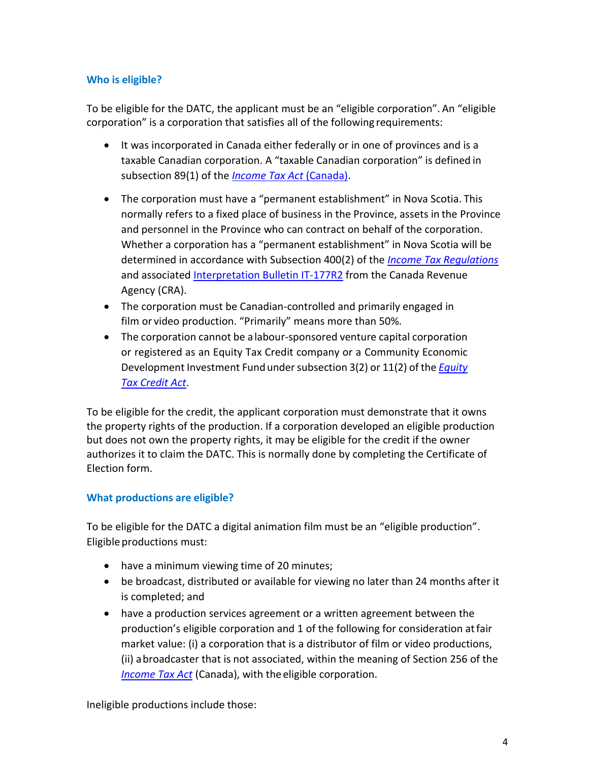## **Who is eligible?**

To be eligible for the DATC, the applicant must be an "eligible corporation". An "eligible corporation" is a corporation that satisfies all of the following requirements:

- It was incorporated in Canada either federally or in one of provinces and is a taxable Canadian corporation. A "taxable Canadian corporation" is defined in subsection 89(1) of the *[Income Tax Act](http://laws-lois.justice.gc.ca/eng/acts/I-3.3/)* (Canada).
- The corporation must have a "permanent establishment" in Nova Scotia. This normally refers to a fixed place of business in the Province, assets in the Province and personnel in the Province who can contract on behalf of the corporation. Whether a corporation has a "permanent establishment" in Nova Scotia will be determined in accordance with Subsection 400(2) of the *[Income Tax Regulations](http://laws-lois.justice.gc.ca/eng/regulations/C.R.C.,_c._945/index.html)* and associated [Interpretation Bulletin IT-177R2](https://www.canada.ca/en/revenue-agency/services/forms-publications/publications/it177r2-consolid-archived-permanent-establishment-a-corporation-a-province.html) from the Canada Revenue Agency (CRA).
- The corporation must be Canadian-controlled and primarily engaged in film or video production. "Primarily" means more than 50%.
- The corporation cannot be a labour-sponsored venture capital corporation or registered as an Equity Tax Credit company or a Community Economic Development Investment Fundundersubsection 3(2) or 11(2) of the *[Equity](http://nslegislature.ca/legc/index.htm)  [Tax Credit](http://nslegislature.ca/legc/index.htm) Act*.

To be eligible for the credit, the applicant corporation must demonstrate that it owns the property rights of the production. If a corporation developed an eligible production but does not own the property rights, it may be eligible for the credit if the owner authorizes it to claim the DATC. This is normally done by completing the Certificate of Election form.

#### **What productions are eligible?**

To be eligible for the DATC a digital animation film must be an "eligible production". Eligible productions must:

- have a minimum viewing time of 20 minutes;
- be broadcast, distributed or available for viewing no later than 24 months after it is completed; and
- have a production services agreement or a written agreement between the production's eligible corporation and 1 of the following for consideration atfair market value: (i) a corporation that is a distributor of film or video productions, (ii) abroadcaster that is not associated, within the meaning of Section 256 of the *[Income Tax Act](http://laws-lois.justice.gc.ca/eng/acts/I-3.3/)* (Canada), with the eligible corporation.

Ineligible productions include those: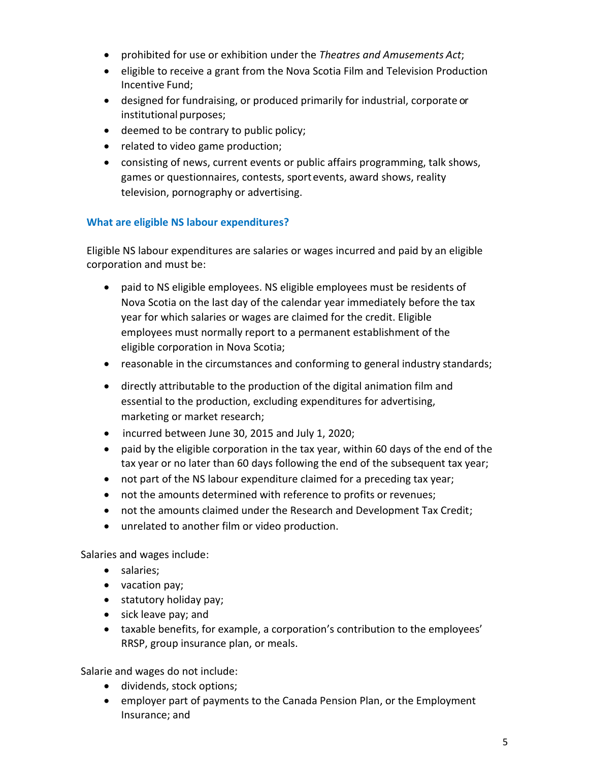- prohibited for use or exhibition under the *Theatres and Amusements Act*;
- eligible to receive a grant from the Nova Scotia Film and Television Production Incentive Fund;
- designed for fundraising, or produced primarily for industrial, corporate or institutional purposes;
- deemed to be contrary to public policy;
- related to video game production;
- consisting of news, current events or public affairs programming, talk shows, games or questionnaires, contests, sportevents, award shows, reality television, pornography or advertising.

#### **What are eligible NS labour expenditures?**

Eligible NS labour expenditures are salaries or wages incurred and paid by an eligible corporation and must be:

- paid to NS eligible employees. NS eligible employees must be residents of Nova Scotia on the last day of the calendar year immediately before the tax year for which salaries or wages are claimed for the credit. Eligible employees must normally report to a permanent establishment of the eligible corporation in Nova Scotia;
- reasonable in the circumstances and conforming to general industry standards;
- directly attributable to the production of the digital animation film and essential to the production, excluding expenditures for advertising, marketing or market research;
- incurred between June 30, 2015 and July 1, 2020;
- paid by the eligible corporation in the tax year, within 60 days of the end of the tax year or no later than 60 days following the end of the subsequent tax year;
- not part of the NS labour expenditure claimed for a preceding tax year;
- not the amounts determined with reference to profits or revenues;
- not the amounts claimed under the Research and Development Tax Credit;
- unrelated to another film or video production.

Salaries and wages include:

- salaries;
- vacation pay;
- statutory holiday pay;
- sick leave pay; and
- taxable benefits, for example, a corporation's contribution to the employees' RRSP, group insurance plan, or meals.

Salarie and wages do not include:

- dividends, stock options;
- employer part of payments to the Canada Pension Plan, or the Employment Insurance; and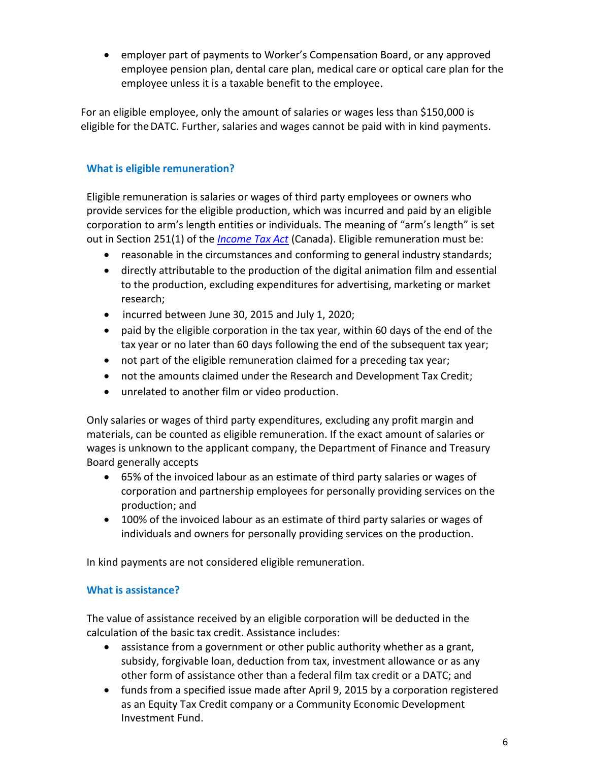• employer part of payments to Worker's Compensation Board, or any approved employee pension plan, dental care plan, medical care or optical care plan for the employee unless it is a taxable benefit to the employee.

For an eligible employee, only the amount of salaries or wages less than \$150,000 is eligible for theDATC. Further, salaries and wages cannot be paid with in kind payments.

### **What is eligible remuneration?**

Eligible remuneration is salaries or wages of third party employees or owners who provide services for the eligible production, which was incurred and paid by an eligible corporation to arm's length entities or individuals. The meaning of "arm's length" is set out in Section 251(1) of the *[Income Tax Act](http://laws-lois.justice.gc.ca/eng/acts/I-3.3/)* (Canada). Eligible remuneration must be:

- reasonable in the circumstances and conforming to general industry standards;
- directly attributable to the production of the digital animation film and essential to the production, excluding expenditures for advertising, marketing or market research;
- incurred between June 30, 2015 and July 1, 2020;
- paid by the eligible corporation in the tax year, within 60 days of the end of the tax year or no later than 60 days following the end of the subsequent tax year;
- not part of the eligible remuneration claimed for a preceding tax year;
- not the amounts claimed under the Research and Development Tax Credit;
- unrelated to another film or video production.

Only salaries or wages of third party expenditures, excluding any profit margin and materials, can be counted as eligible remuneration. If the exact amount of salaries or wages is unknown to the applicant company, the Department of Finance and Treasury Board generally accepts

- 65% of the invoiced labour as an estimate of third party salaries or wages of corporation and partnership employees for personally providing services on the production; and
- 100% of the invoiced labour as an estimate of third party salaries or wages of individuals and owners for personally providing services on the production.

In kind payments are not considered eligible remuneration.

#### **What is assistance?**

The value of assistance received by an eligible corporation will be deducted in the calculation of the basic tax credit. Assistance includes:

- assistance from a government or other public authority whether as a grant, subsidy, forgivable loan, deduction from tax, investment allowance or as any other form of assistance other than a federal film tax credit or a DATC; and
- funds from a specified issue made after April 9, 2015 by a corporation registered as an Equity Tax Credit company or a Community Economic Development Investment Fund.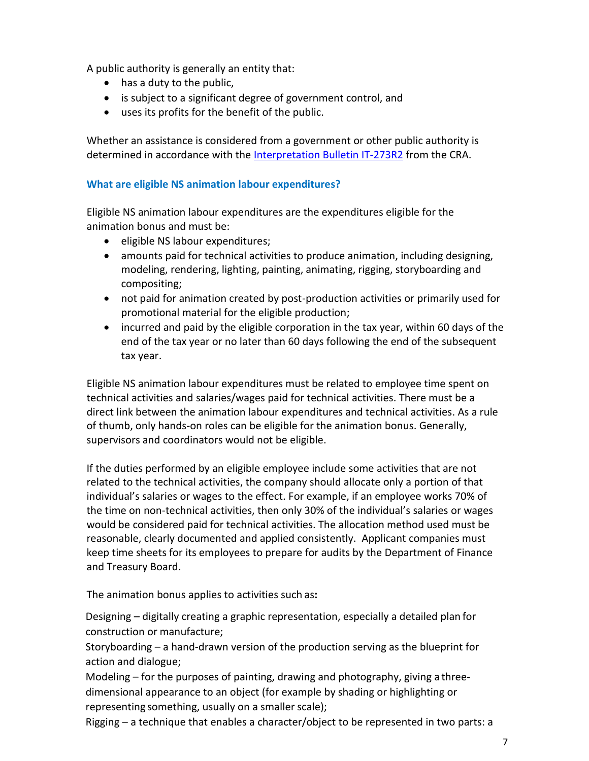A public authority is generally an entity that:

- has a duty to the public,
- is subject to a significant degree of government control, and
- uses its profits for the benefit of the public.

Whether an assistance is considered from a government or other public authority is determined in accordance with th[e Interpretation Bulletin](https://www.canada.ca/en/revenue-agency/services/forms-publications/publications/it273r2-archived-government-assistance-general-comments.html) IT-273R2 from the CRA.

#### **What are eligible NS animation labour expenditures?**

Eligible NS animation labour expenditures are the expenditures eligible for the animation bonus and must be:

- eligible NS labour expenditures;
- amounts paid for technical activities to produce animation, including designing, modeling, rendering, lighting, painting, animating, rigging, storyboarding and compositing;
- not paid for animation created by post-production activities or primarily used for promotional material for the eligible production;
- incurred and paid by the eligible corporation in the tax year, within 60 days of the end of the tax year or no later than 60 days following the end of the subsequent tax year.

Eligible NS animation labour expenditures must be related to employee time spent on technical activities and salaries/wages paid for technical activities. There must be a direct link between the animation labour expenditures and technical activities. As a rule of thumb, only hands-on roles can be eligible for the animation bonus. Generally, supervisors and coordinators would not be eligible.

If the duties performed by an eligible employee include some activities that are not related to the technical activities, the company should allocate only a portion of that individual's salaries or wages to the effect. For example, if an employee works 70% of the time on non-technical activities, then only 30% of the individual's salaries or wages would be considered paid for technical activities. The allocation method used must be reasonable, clearly documented and applied consistently. Applicant companies must keep time sheets for its employees to prepare for audits by the Department of Finance and Treasury Board.

The animation bonus applies to activities such as**:**

Designing – digitally creating a graphic representation, especially a detailed plan for construction or manufacture;

Storyboarding – a hand-drawn version of the production serving as the blueprint for action and dialogue;

Modeling – for the purposes of painting, drawing and photography, giving a threedimensional appearance to an object (for example by shading or highlighting or representing something, usually on a smaller scale);

Rigging – a technique that enables a character/object to be represented in two parts: a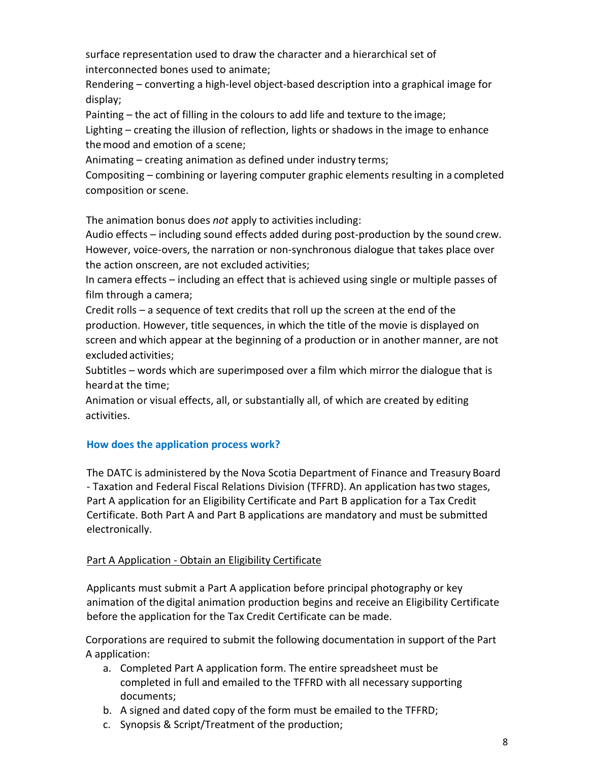surface representation used to draw the character and a hierarchical set of interconnected bones used to animate;

Rendering – converting a high-level object-based description into a graphical image for display;

Painting – the act of filling in the colours to add life and texture to the image;

Lighting – creating the illusion of reflection, lights or shadows in the image to enhance themood and emotion of a scene;

Animating – creating animation as defined under industry terms;

Compositing – combining or layering computer graphic elements resulting in a completed composition or scene.

The animation bonus does *not* apply to activities including:

Audio effects – including sound effects added during post-production by the sound crew. However, voice-overs, the narration or non-synchronous dialogue that takes place over the action onscreen, are not excluded activities;

In camera effects – including an effect that is achieved using single or multiple passes of film through a camera;

Credit rolls – a sequence of text credits that roll up the screen at the end of the production. However, title sequences, in which the title of the movie is displayed on screen and which appear at the beginning of a production or in another manner, are not excludedactivities;

Subtitles – words which are superimposed over a film which mirror the dialogue that is heardat the time;

Animation or visual effects, all, or substantially all, of which are created by editing activities.

## **How does the application process work?**

The DATC is administered by the Nova Scotia Department of Finance and Treasury Board - Taxation and Federal Fiscal Relations Division (TFFRD). An application hastwo stages, Part A application for an Eligibility Certificate and Part B application for a Tax Credit Certificate. Both Part A and Part B applications are mandatory and must be submitted electronically.

## Part A Application - Obtain an Eligibility Certificate

Applicants must submit a Part A application before principal photography or key animation of the digital animation production begins and receive an Eligibility Certificate before the application for the Tax Credit Certificate can be made.

Corporations are required to submit the following documentation in support of the Part A application:

- a. Completed Part A application form. The entire spreadsheet must be completed in full and emailed to the TFFRD with all necessary supporting documents;
- b. A signed and dated copy of the form must be emailed to the TFFRD;
- c. Synopsis & Script/Treatment of the production;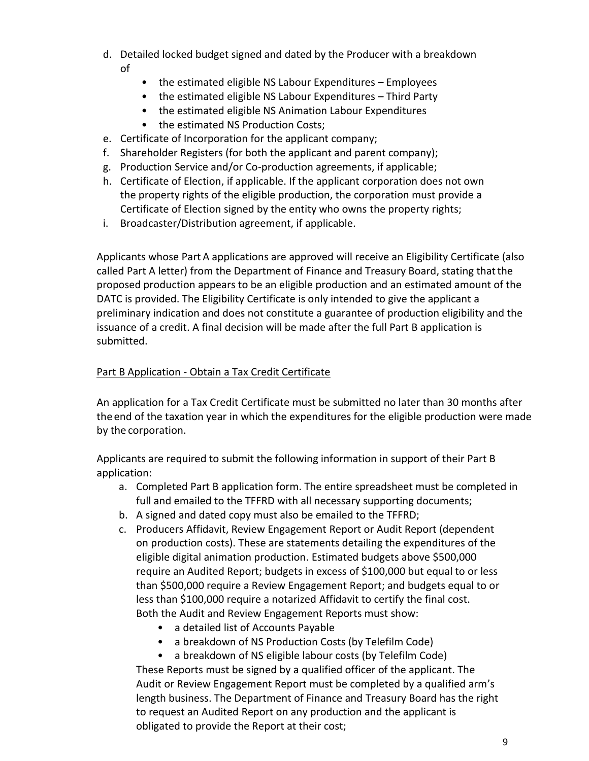- d. Detailed locked budget signed and dated by the Producer with a breakdown of
	- the estimated eligible NS Labour Expenditures Employees
	- the estimated eligible NS Labour Expenditures Third Party
	- the estimated eligible NS Animation Labour Expenditures
	- the estimated NS Production Costs;
- e. Certificate of Incorporation for the applicant company;
- f. Shareholder Registers (for both the applicant and parent company);
- g. Production Service and/or Co-production agreements, if applicable;
- h. Certificate of Election, if applicable. If the applicant corporation does not own the property rights of the eligible production, the corporation must provide a Certificate of Election signed by the entity who owns the property rights;
- i. Broadcaster/Distribution agreement, if applicable.

Applicants whose Part A applications are approved will receive an Eligibility Certificate (also called Part A letter) from the Department of Finance and Treasury Board, stating thatthe proposed production appears to be an eligible production and an estimated amount of the DATC is provided. The Eligibility Certificate is only intended to give the applicant a preliminary indication and does not constitute a guarantee of production eligibility and the issuance of a credit. A final decision will be made after the full Part B application is submitted.

#### Part B Application - Obtain a Tax Credit Certificate

An application for a Tax Credit Certificate must be submitted no later than 30 months after the end of the taxation year in which the expenditures for the eligible production were made by the corporation.

Applicants are required to submit the following information in support of their Part B application:

- a. Completed Part B application form. The entire spreadsheet must be completed in full and emailed to the TFFRD with all necessary supporting documents;
- b. A signed and dated copy must also be emailed to the TFFRD;
- c. Producers Affidavit, Review Engagement Report or Audit Report (dependent on production costs). These are statements detailing the expenditures of the eligible digital animation production. Estimated budgets above \$500,000 require an Audited Report; budgets in excess of \$100,000 but equal to or less than \$500,000 require a Review Engagement Report; and budgets equal to or less than \$100,000 require a notarized Affidavit to certify the final cost. Both the Audit and Review Engagement Reports must show:
	- a detailed list of Accounts Payable
	- a breakdown of NS Production Costs (by Telefilm Code)
	- a breakdown of NS eligible labour costs (by Telefilm Code)

These Reports must be signed by a qualified officer of the applicant. The Audit or Review Engagement Report must be completed by a qualified arm's length business. The Department of Finance and Treasury Board has the right to request an Audited Report on any production and the applicant is obligated to provide the Report at their cost;